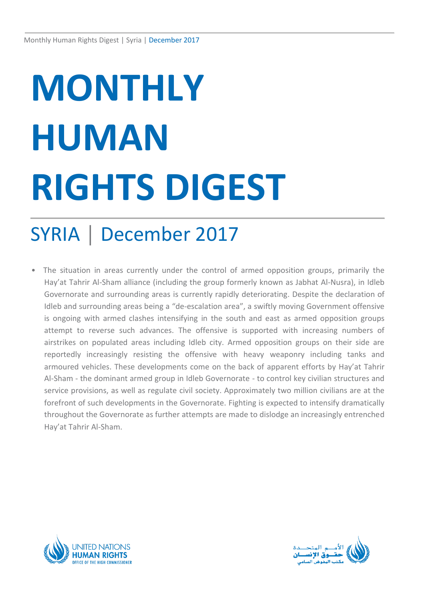# **MONTHLY HUMAN RIGHTS DIGEST**

## SYRIA │ December 2017

The situation in areas currently under the control of armed opposition groups, primarily the Hay'at Tahrir Al-Sham alliance (including the group formerly known as Jabhat Al-Nusra), in Idleb Governorate and surrounding areas is currently rapidly deteriorating. Despite the declaration of Idleb and surrounding areas being a "de-escalation area", a swiftly moving Government offensive is ongoing with armed clashes intensifying in the south and east as armed opposition groups attempt to reverse such advances. The offensive is supported with increasing numbers of airstrikes on populated areas including Idleb city. Armed opposition groups on their side are reportedly increasingly resisting the offensive with heavy weaponry including tanks and armoured vehicles. These developments come on the back of apparent efforts by Hay'at Tahrir Al-Sham - the dominant armed group in Idleb Governorate - to control key civilian structures and service provisions, as well as regulate civil society. Approximately two million civilians are at the forefront of such developments in the Governorate. Fighting is expected to intensify dramatically throughout the Governorate as further attempts are made to dislodge an increasingly entrenched Hay'at Tahrir Al-Sham.



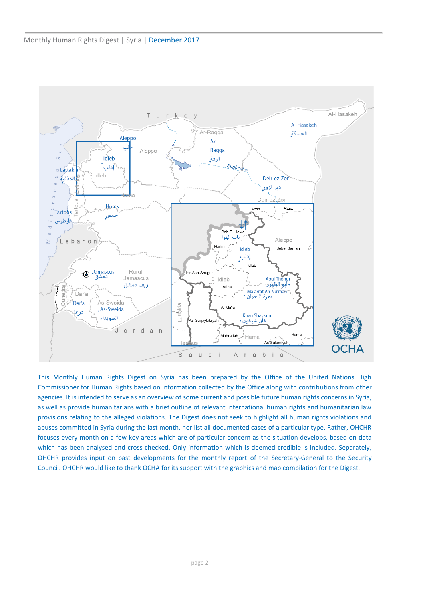

This Monthly Human Rights Digest on Syria has been prepared by the Office of the United Nations High Commissioner for Human Rights based on information collected by the Office along with contributions from other agencies. It is intended to serve as an overview of some current and possible future human rights concerns in Syria, as well as provide humanitarians with a brief outline of relevant international human rights and humanitarian law provisions relating to the alleged violations. The Digest does not seek to highlight all human rights violations and abuses committed in Syria during the last month, nor list all documented cases of a particular type. Rather, OHCHR focuses every month on a few key areas which are of particular concern as the situation develops, based on data which has been analysed and cross-checked. Only information which is deemed credible is included. Separately, OHCHR provides input on past developments for the monthly report of the Secretary-General to the Security Council. OHCHR would like to thank OCHA for its support with the graphics and map compilation for the Digest.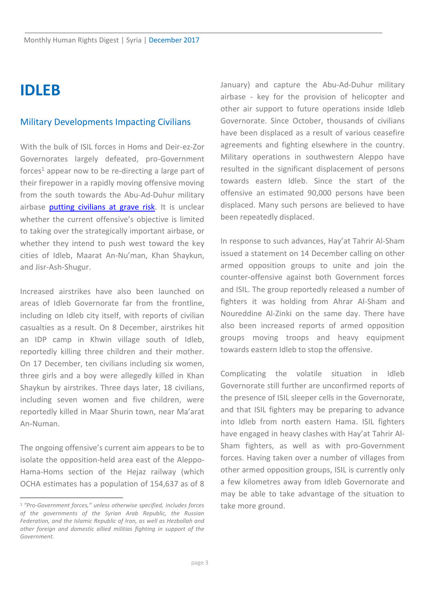### **IDLEB**

#### Military Developments Impacting Civilians

With the bulk of ISIL forces in Homs and Deir-ez-Zor Governorates largely defeated, pro-Government forces<sup>1</sup> appear now to be re-directing a large part of their firepower in a rapidly moving offensive moving from the south towards the Abu-Ad-Duhur military airbase [putting civilians at grave risk.](http://www.ohchr.org/EN/NewsEvents/Pages/DisplayNews.aspx?NewsID=22578&LangID=E) It is unclear whether the current offensive's objective is limited to taking over the strategically important airbase, or whether they intend to push west toward the key cities of Idleb, Maarat An-Nu'man, Khan Shaykun, and Jisr-Ash-Shugur.

Increased airstrikes have also been launched on areas of Idleb Governorate far from the frontline, including on Idleb city itself, with reports of civilian casualties as a result. On 8 December, airstrikes hit an IDP camp in Khwin village south of Idleb, reportedly killing three children and their mother. On 17 December, ten civilians including six women, three girls and a boy were allegedly killed in Khan Shaykun by airstrikes. Three days later, 18 civilians, including seven women and five children, were reportedly killed in Maar Shurin town, near Ma'arat An-Numan.

The ongoing offensive's current aim appears to be to isolate the opposition-held area east of the Aleppo-Hama-Homs section of the Hejaz railway (which OCHA estimates has a population of 154,637 as of 8

January) and capture the Abu-Ad-Duhur military airbase - key for the provision of helicopter and other air support to future operations inside Idleb Governorate. Since October, thousands of civilians have been displaced as a result of various ceasefire agreements and fighting elsewhere in the country. Military operations in southwestern Aleppo have resulted in the significant displacement of persons towards eastern Idleb. Since the start of the offensive an estimated 90,000 persons have been displaced. Many such persons are believed to have been repeatedly displaced.

In response to such advances, Hay'at Tahrir Al-Sham issued a statement on 14 December calling on other armed opposition groups to unite and join the counter-offensive against both Government forces and ISIL. The group reportedly released a number of fighters it was holding from Ahrar Al-Sham and Noureddine Al-Zinki on the same day. There have also been increased reports of armed opposition groups moving troops and heavy equipment towards eastern Idleb to stop the offensive.

Complicating the volatile situation in Idleb Governorate still further are unconfirmed reports of the presence of ISIL sleeper cells in the Governorate, and that ISIL fighters may be preparing to advance into Idleb from north eastern Hama. ISIL fighters have engaged in heavy clashes with Hay'at Tahrir Al-Sham fighters, as well as with pro-Government forces. Having taken over a number of villages from other armed opposition groups, ISIL is currently only a few kilometres away from Idleb Governorate and may be able to take advantage of the situation to take more ground.

<sup>1</sup> *"Pro-Government forces," unless otherwise specified, includes forces of the governments of the Syrian Arab Republic, the Russian Federation, and the Islamic Republic of Iran, as well as Hezbollah and other foreign and domestic allied militias fighting in support of the Government.*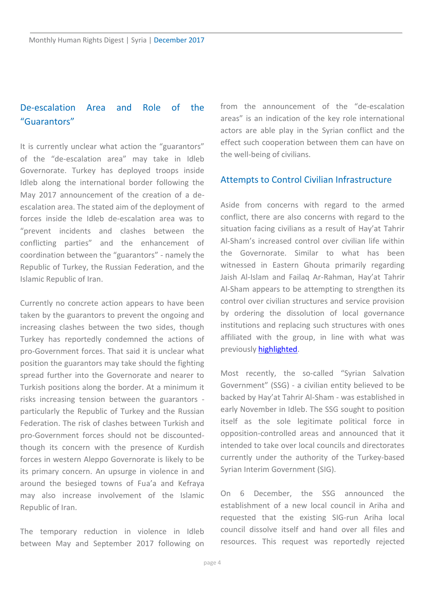#### De-escalation Area and Role of the "Guarantors"

It is currently unclear what action the "guarantors" of the "de-escalation area" may take in Idleb Governorate. Turkey has deployed troops inside Idleb along the international border following the May 2017 announcement of the creation of a deescalation area. The stated aim of the deployment of forces inside the Idleb de-escalation area was to "prevent incidents and clashes between the conflicting parties" and the enhancement of coordination between the "guarantors" - namely the Republic of Turkey, the Russian Federation, and the Islamic Republic of Iran.

Currently no concrete action appears to have been taken by the guarantors to prevent the ongoing and increasing clashes between the two sides, though Turkey has reportedly condemned the actions of pro-Government forces. That said it is unclear what position the guarantors may take should the fighting spread further into the Governorate and nearer to Turkish positions along the border. At a minimum it risks increasing tension between the guarantors particularly the Republic of Turkey and the Russian Federation. The risk of clashes between Turkish and pro-Government forces should not be discountedthough its concern with the presence of Kurdish forces in western Aleppo Governorate is likely to be its primary concern. An upsurge in violence in and around the besieged towns of Fua'a and Kefraya may also increase involvement of the Islamic Republic of Iran.

The temporary reduction in violence in Idleb between May and September 2017 following on from the announcement of the "de-escalation areas" is an indication of the key role international actors are able play in the Syrian conflict and the effect such cooperation between them can have on the well-being of civilians.

#### Attempts to Control Civilian Infrastructure

Aside from concerns with regard to the armed conflict, there are also concerns with regard to the situation facing civilians as a result of Hay'at Tahrir Al-Sham's increased control over civilian life within the Governorate. Similar to what has been witnessed in Eastern Ghouta primarily regarding Jaish Al-Islam and Failaq Ar-Rahman, Hay'at Tahrir Al-Sham appears to be attempting to strengthen its control over civilian structures and service provision by ordering the dissolution of local governance institutions and replacing such structures with ones affiliated with the group, in line with what was previously [highlighted.](https://www.humanitarianresponse.info/en/operations/whole-of-syria/document/monthly-human-rights-digest-syria-september-2017)

Most recently, the so-called "Syrian Salvation Government" (SSG) - a civilian entity believed to be backed by Hay'at Tahrir Al-Sham - was established in early November in Idleb. The SSG sought to position itself as the sole legitimate political force in opposition-controlled areas and announced that it intended to take over local councils and directorates currently under the authority of the Turkey-based Syrian Interim Government (SIG).

On 6 December, the SSG announced the establishment of a new local council in Ariha and requested that the existing SIG-run Ariha local council dissolve itself and hand over all files and resources. This request was reportedly rejected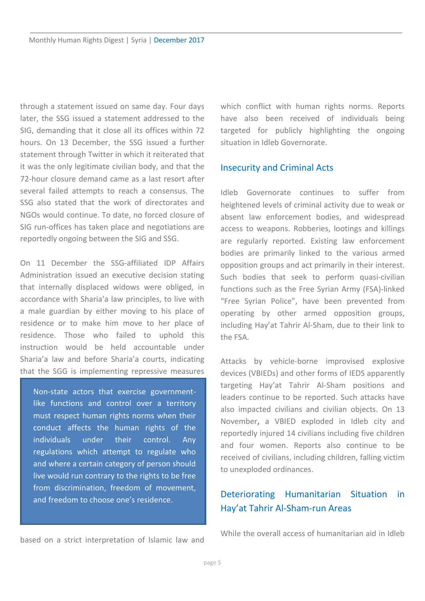through a statement issued on same day. Four days later, the SSG issued a statement addressed to the SIG, demanding that it close all its offices within 72 hours. On 13 December, the SSG issued a further statement through Twitter in which it reiterated that it was the only legitimate civilian body, and that the 72-hour closure demand came as a last resort after several failed attempts to reach a consensus. The SSG also stated that the work of directorates and NGOs would continue. To date, no forced closure of SIG run-offices has taken place and negotiations are reportedly ongoing between the SIG and SSG.

On 11 December the SSG-affiliated IDP Affairs Administration issued an executive decision stating that internally displaced widows were obliged, in accordance with Sharia'a law principles, to live with a male guardian by either moving to his place of residence or to make him move to her place of residence. Those who failed to uphold this instruction would be held accountable under Sharia'a law and before Sharia'a courts, indicating that the SGG is implementing repressive measures

Non-state actors that exercise governmentlike functions and control over a territory must respect human rights norms when their conduct affects the human rights of the individuals under their control. Any regulations which attempt to regulate who and where a certain category of person should live would run contrary to the rights to be free from discrimination, freedom of movement, and freedom to choose one's residence.

which conflict with human rights norms. Reports have also been received of individuals being targeted for publicly highlighting the ongoing situation in Idleb Governorate.

#### Insecurity and Criminal Acts

Idleb Governorate continues to suffer from heightened levels of criminal activity due to weak or absent law enforcement bodies, and widespread access to weapons. Robberies, lootings and killings are regularly reported. Existing law enforcement bodies are primarily linked to the various armed opposition groups and act primarily in their interest. Such bodies that seek to perform quasi*-*civilian functions such as the Free Syrian Army (FSA)-linked "Free Syrian Police", have been prevented from operating by other armed opposition groups, including Hay'at Tahrir Al-Sham, due to their link to the FSA.

Attacks by vehicle-borne improvised explosive devices (VBIEDs) and other forms of IEDS apparently targeting Hay'at Tahrir Al-Sham positions and leaders continue to be reported. Such attacks have also impacted civilians and civilian objects. On 13 November**,** a VBIED exploded in Idleb city and reportedly injured 14 civilians including five children and four women. Reports also continue to be received of civilians, including children, falling victim to unexploded ordinances.

#### Deteriorating Humanitarian Situation in Hay'at Tahrir Al-Sham-run Areas

While the overall access of humanitarian aid in Idleb

based on a strict interpretation of Islamic law and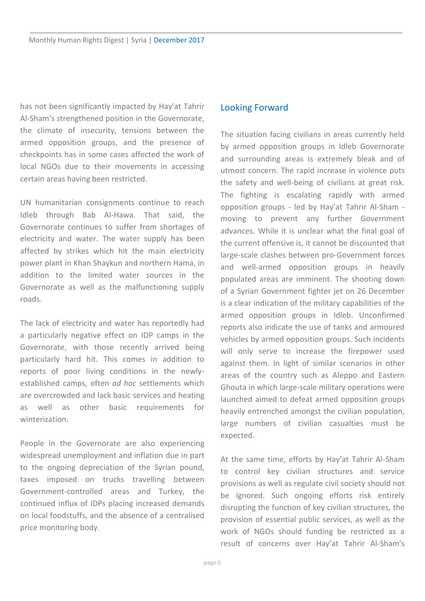has not been significantly impacted by Hay'at Tahrir Al-Sham's strengthened position in the Governorate, the climate of insecurity, tensions between the armed opposition groups, and the presence of checkpoints has in some cases affected the work of local NGOs due to their movements in accessing certain areas having been restricted.

UN humanitarian consignments continue to reach Idleb through Bab Al-Hawa. That said, the Governorate continues to suffer from shortages of electricity and water. The water supply has been affected by strikes which hit the main electricity power plant in Khan Shaykun and northern Hama, in addition to the limited water sources in the Governorate as well as the malfunctioning supply roads.

The lack of electricity and water has reportedly had a particularly negative effect on IDP camps in the Governorate, with those recently arrived being particularly hard hit. This comes in addition to reports of poor living conditions in the newlyestablished camps, often *ad hoc* settlements which are overcrowded and lack basic services and heating as well as other basic requirements for winterization.

People in the Governorate are also experiencing widespread unemployment and inflation due in part to the ongoing depreciation of the Syrian pound, taxes imposed on trucks travelling between Government-controlled areas and Turkey, the continued influx of IDPs placing increased demands on local foodstuffs, and the absence of a centralised price monitoring body.

#### Looking Forward

The situation facing civilians in areas currently held by armed opposition groups in Idleb Governorate and surrounding areas is extremely bleak and of utmost concern. The rapid increase in violence puts the safety and well-being of civilians at great risk. The fighting is escalating rapidly with armed opposition groups - led by Hay'at Tahrir Al-Sham moving to prevent any further Government advances. While it is unclear what the final goal of the current offensive is, it cannot be discounted that large-scale clashes between pro-Government forces and well-armed opposition groups in heavily populated areas are imminent. The shooting down of a Syrian Government fighter jet on 26 December is a clear indication of the military capabilities of the armed opposition groups in Idleb. Unconfirmed reports also indicate the use of tanks and armoured vehicles by armed opposition groups. Such incidents will only serve to increase the firepower used against them. In light of similar scenarios in other areas of the country such as Aleppo and Eastern Ghouta in which large-scale military operations were launched aimed to defeat armed opposition groups heavily entrenched amongst the civilian population, large numbers of civilian casualties must be expected.

At the same time, efforts by Hay'at Tahrir Al-Sham to control key civilian structures and service provisions as well as regulate civil society should not be ignored. Such ongoing efforts risk entirely disrupting the function of key civilian structures, the provision of essential public services, as well as the work of NGOs should funding be restricted as a result of concerns over Hay'at Tahrir Al-Sham's